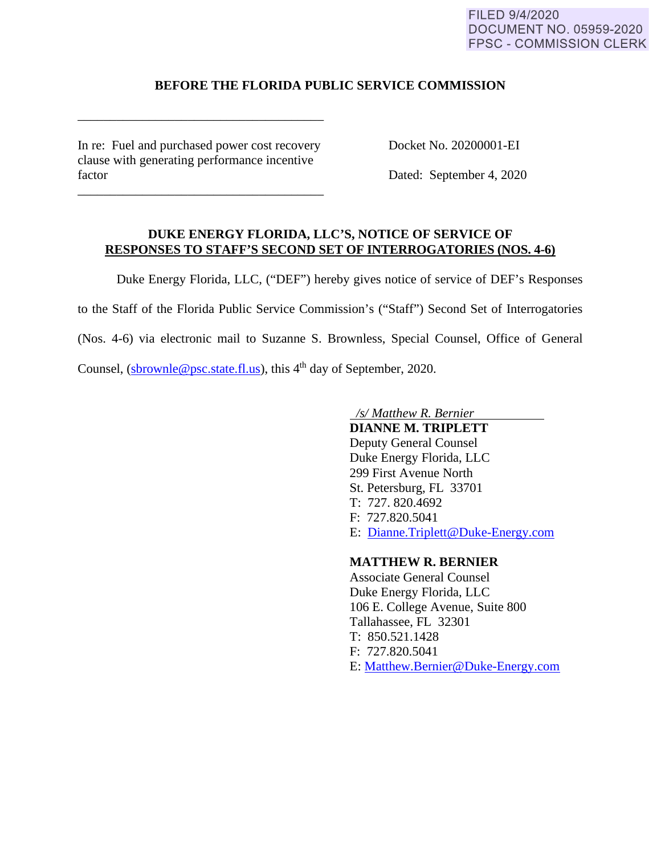#### FILED 9/4/2020 **DOCUMENT NO. 05959-2020 FPSC - COMMISSION CLERK**

# **BEFORE THE FLORIDA PUBLIC SERVICE COMMISSION**

In re: Fuel and purchased power cost recovery Docket No. 20200001-EI clause with generating performance incentive factor Dated: September 4, 2020

\_\_\_\_\_\_\_\_\_\_\_\_\_\_\_\_\_\_\_\_\_\_\_\_\_\_\_\_\_\_\_\_\_\_\_\_\_\_

\_\_\_\_\_\_\_\_\_\_\_\_\_\_\_\_\_\_\_\_\_\_\_\_\_\_\_\_\_\_\_\_\_\_\_\_\_\_

# **DUKE ENERGY FLORIDA, LLC'S, NOTICE OF SERVICE OF RESPONSES TO STAFF'S SECOND SET OF INTERROGATORIES (NOS. 4-6)**

 Duke Energy Florida, LLC, ("DEF") hereby gives notice of service of DEF's Responses to the Staff of the Florida Public Service Commission's ("Staff") Second Set of Interrogatories (Nos. 4-6) via electronic mail to Suzanne S. Brownless, Special Counsel, Office of General Counsel, (sbrownle@psc.state.fl.us), this  $4<sup>th</sup>$  day of September, 2020.

*/s/ Matthew R. Bernier* 

 **DIANNE M. TRIPLETT** Deputy General Counsel Duke Energy Florida, LLC 299 First Avenue North St. Petersburg, FL 33701 T: 727. 820.4692 F: 727.820.5041 E: Dianne.Triplett@Duke-Energy.com

# **MATTHEW R. BERNIER**

 Associate General Counsel Duke Energy Florida, LLC 106 E. College Avenue, Suite 800 Tallahassee, FL 32301 T: 850.521.1428 F: 727.820.5041 E: Matthew.Bernier@Duke-Energy.com